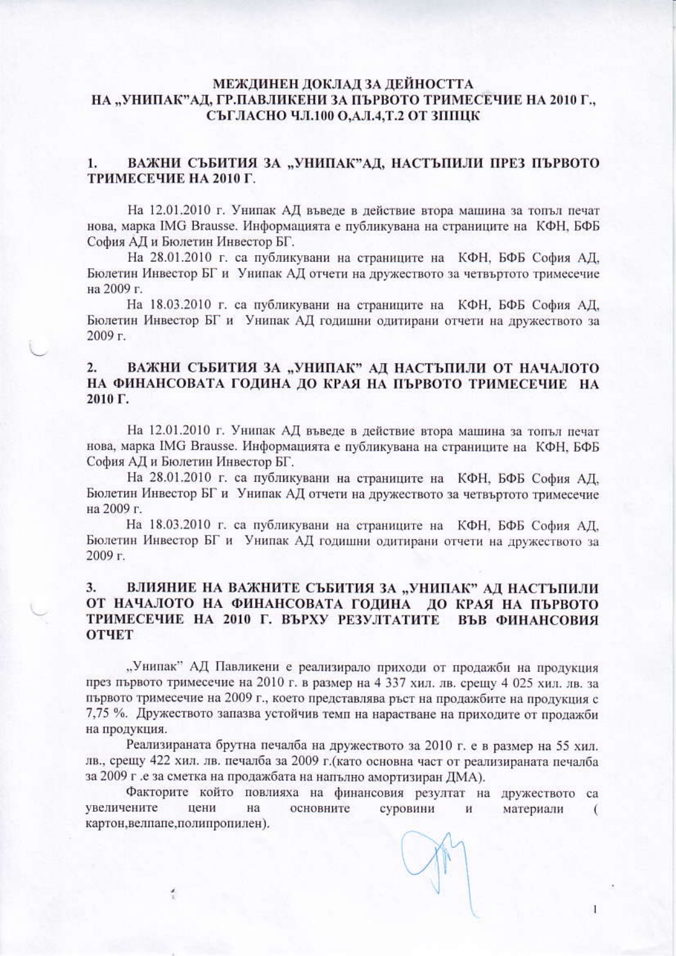# МЕЖДИНЕН ДОКЛАД ЗА ДЕЙНОСТТА НА "УНИПАК"АД, ГР.ПАВЛИКЕНИ ЗА ПЪРВОТО ТРИМЕСЕЧИЕ НА 2010 Г., СЪГЛАСНО ЧЛ.100 О, А.Л.4, Т.2 ОТ ЗППЦК

#### ВАЖНИ СЪБИТИЯ ЗА "УНИПАК"АД, НАСТЪПИЛИ ПРЕЗ ПЪРВОТО  $1.$ ТРИМЕСЕЧИЕ НА 2010 Г.

На 12.01.2010 г. Унипак АД въведе в действие втора машина за топъл печат нова, марка IMG Brausse. Информацията е публикувана на страниците на КФН, БФБ София АД и Бюлетин Инвестор БГ.

На 28.01.2010 г. са публикувани на страниците на КФН, БФБ София АД, Бюлетин Инвестор БГ и Унипак АД отчети на дружеството за четвъртото тримесечие на 2009 г.

На 18.03.2010 г. са публикувани на страниците на КФН, БФБ София АД, Бюлетин Инвестор БГ и Унипак АД годишни одитирани отчети на дружеството за  $2009<sub>Γ</sub>$ 

### ВАЖНИ СЪБИТИЯ ЗА "УНИПАК" АД НАСТЪПИЛИ ОТ НАЧАЛОТО  $2.$ НА ФИНАНСОВАТА ГОДИНА ДО КРАЯ НА ПЪРВОТО ТРИМЕСЕЧИЕ НА 2010 Г.

На 12.01.2010 г. Унипак АД въведе в действие втора машина за топъл печат нова, марка IMG Brausse. Информацията е публикувана на страниците на КФН, БФБ София АД и Бюлетин Инвестор БГ.

На 28.01.2010 г. са публикувани на страниците на КФН, БФБ София АД. Бюлетин Инвестор БГ и Унипак АД отчети на дружеството за четвъртото тримесечие на 2009 г.

На 18.03.2010 г. са публикувани на страниците на КФН, БФБ София АД, Бюлетин Инвестор БГ и Унипак АД годишни одитирани отчети на дружеството за  $2009r$ 

### 3. ВЛИЯНИЕ НА ВАЖНИТЕ СЪБИТИЯ ЗА "УНИПАК" АД НАСТЪПИЛИ ОТ НАЧАЛОТО НА ФИНАНСОВАТА ГОДИНА ДО КРАЯ НА ПЪРВОТО ТРИМЕСЕЧИЕ НА 2010 Г. ВЪРХУ РЕЗУЛТАТИТЕ ВЪВ ФИНАНСОВИЯ **ОТЧЕТ**

"Унипак" АД Павликени е реализирало приходи от продажби на продукция през първото тримесечие на 2010 г. в размер на 4 337 хил. лв. срещу 4 025 хил. лв. за първото тримесечие на 2009 г., което представлява ръст на продажбите на продукция с 7,75 %. Дружеството запазва устойчив темп на нарастване на приходите от продажби на продукция.

Реализираната брутна печалба на дружеството за 2010 г. е в размер на 55 хил. лв., срещу 422 хил. лв. печалба за 2009 г. (като основна част от реализираната печалба за 2009 г. е за сметка на продажбата на напълно амортизиран ДМА).

Факторите който повлияха на финансовия резултат на дружеството са увеличените цени основните на суровини  $\mathbf H$ материали € картон, велпапе, полипропилен).

1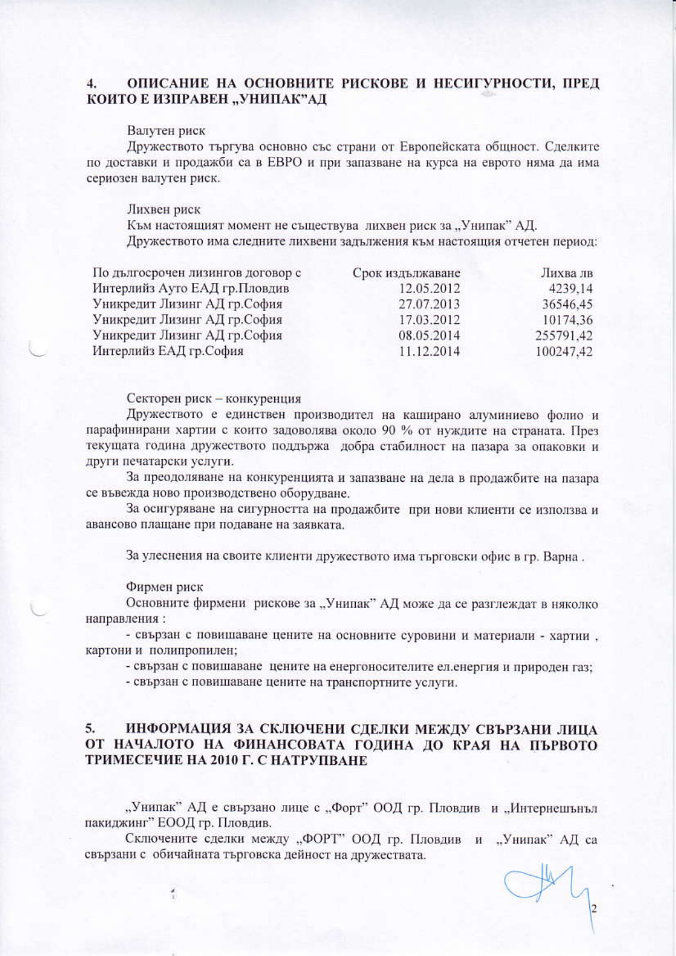#### ОПИСАНИЕ НА ОСНОВНИТЕ РИСКОВЕ И НЕСИГУРНОСТИ, ПРЕД  $\mathbf{4}$ КОИТО Е ИЗПРАВЕН "УНИПАК"АД

## Валутен риск

Дружеството търгува основно със страни от Европейската общност. Сделките по доставки и продажби са в ЕВРО и при запазване на курса на еврото няма да има сериозен валутен риск.

## Лихвен риск

Към настоящият момент не съществува лихвен риск за "Унипак" АД. Дружеството има следните лихвени задължения към настоящия отчетен период:

| По дългосрочен лизингов договор с | Срок издължаване | Лихва лв  |
|-----------------------------------|------------------|-----------|
| Интерлийз Ауто ЕАД гр.Пловдив     | 12.05.2012       | 4239.14   |
| Уникредит Лизинг АД гр.София      | 27.07.2013       | 36546.45  |
| Уникредит Лизинг АД гр.София      | 17.03.2012       | 10174.36  |
| Уникредит Лизинг АД гр.София      | 08.05.2014       | 255791.42 |
| Интерлийз ЕАД гр.София            | 11.12.2014       | 100247.42 |

Секторен риск - конкуренция

Дружеството е единствен производител на каширано алуминиево фолио и парафинирани хартии с които задоволява около 90 % от нуждите на страната. През текущата година дружеството поддържа добра стабилност на пазара за опаковки и други печатарски услуги.

За преодоляване на конкуренцията и запазване на дела в продажбите на пазара се въвежда ново производствено оборудване.

За осигуряване на сигурността на продажбите при нови клиенти се използва и авансово плащане при подаване на заявката.

За улеснения на своите клиенти дружеството има търговски офис в гр. Варна.

## Фирмен риск

Основните фирмени рискове за "Унипак" АД може да се разглеждат в няколко направления:

- свързан с повишаване цените на основните суровини и материали - хартии, картони и полипропилен;

- свързан с повишаване цените на енергоносителите ел.енергия и природен газ;

- свързан с повишаване цените на транспортните услуги.

#### $5.$ ИНФОРМАЦИЯ ЗА СКЛЮЧЕНИ СДЕЛКИ МЕЖДУ СВЪРЗАНИ ЛИЦА ОТ НАЧАЛОТО НА ФИНАНСОВАТА ГОДИНА ДО КРАЯ НА ПЪРВОТО ТРИМЕСЕЧИЕ НА 2010 Г. С НАТРУПВАНЕ

"Унипак" АД е свързано лице с "Форт" ООД гр. Пловдив и "Интернешънъл пакиджинг" ЕООД гр. Пловдив.

Сключените сделки между "ФОРТ" ООД гр. Пловдив и "Унипак" АД са свързани с обичайната търговска дейност на дружествата.

 $|2|$